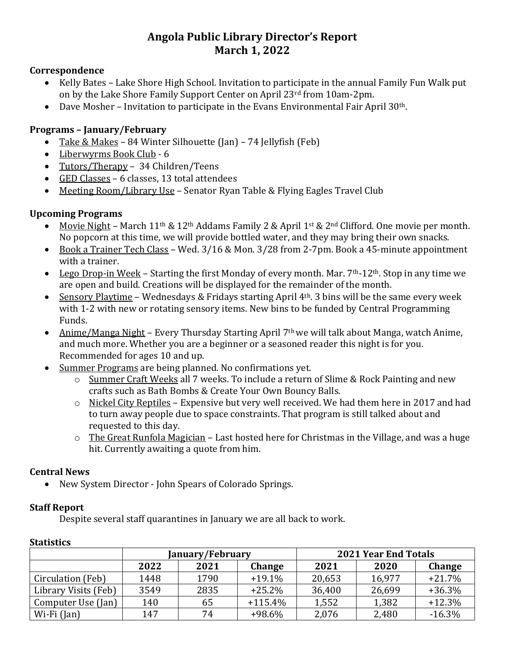# **Angola Public Library Director's Report March 1, 2022**

#### **Correspondence**

- Kelly Bates Lake Shore High School. Invitation to participate in the annual Family Fun Walk put on by the Lake Shore Family Support Center on April 23rd from 10am-2pm.
- $\bullet$  Dave Mosher Invitation to participate in the Evans Environmental Fair April 30<sup>th</sup>.

# **Programs – January/February**

- Take & Makes 84 Winter Silhouette (Jan) 74 Jellyfish (Feb)
- Liberwyrms Book Club 6
- Tutors/Therapy 34 Children/Teens
- GED Classes 6 classes, 13 total attendees
- Meeting Room/Library Use Senator Ryan Table & Flying Eagles Travel Club

# **Upcoming Programs**

- Movie Night March 11<sup>th</sup> & 12<sup>th</sup> Addams Family 2 & April 1<sup>st</sup> & 2<sup>nd</sup> Clifford. One movie per month. No popcorn at this time, we will provide bottled water, and they may bring their own snacks.
- Book a Trainer Tech Class Wed. 3/16 & Mon. 3/28 from 2-7pm. Book a 45-minute appointment with a trainer.
- Lego Drop-in Week Starting the first Monday of every month. Mar.  $7<sup>th</sup>$ -12<sup>th</sup>. Stop in any time we are open and build. Creations will be displayed for the remainder of the month.
- Sensory Playtime Wednesdays & Fridays starting April  $4<sup>th</sup>$ . 3 bins will be the same every week with 1-2 with new or rotating sensory items. New bins to be funded by Central Programming Funds.
- Anime/Manga Night Every Thursday Starting April 7<sup>th</sup> we will talk about Manga, watch Anime, and much more. Whether you are a beginner or a seasoned reader this night is for you. Recommended for ages 10 and up.
- Summer Programs are being planned. No confirmations yet.
	- o Summer Craft Weeks all 7 weeks. To include a return of Slime & Rock Painting and new crafts such as Bath Bombs & Create Your Own Bouncy Balls.
	- $\circ$  Nickel City Reptiles Expensive but very well received. We had them here in 2017 and had to turn away people due to space constraints. That program is still talked about and requested to this day.
	- $\circ$  The Great Runfola Magician Last hosted here for Christmas in the Village, and was a huge hit. Currently awaiting a quote from him.

## **Central News**

• New System Director - John Spears of Colorado Springs.

## **Staff Report**

Despite several staff quarantines in January we are all back to work.

|                      | January/February |      |               | <b>2021 Year End Totals</b> |        |          |
|----------------------|------------------|------|---------------|-----------------------------|--------|----------|
|                      | 2022             | 2021 | <b>Change</b> | 2021                        | 2020   | Change   |
| Circulation (Feb)    | 1448             | 1790 | $+19.1%$      | 20,653                      | 16,977 | $+21.7%$ |
| Library Visits (Feb) | 3549             | 2835 | $+25.2%$      | 36,400                      | 26,699 | $+36.3%$ |
| Computer Use (Jan)   | 140              | 65   | $+115.4%$     | 1,552                       | 1,382  | $+12.3%$ |
| Wi-Fi (Jan)          | 147              | 74   | $+98.6%$      | 2,076                       | 2,480  | $-16.3%$ |

## **Statistics**